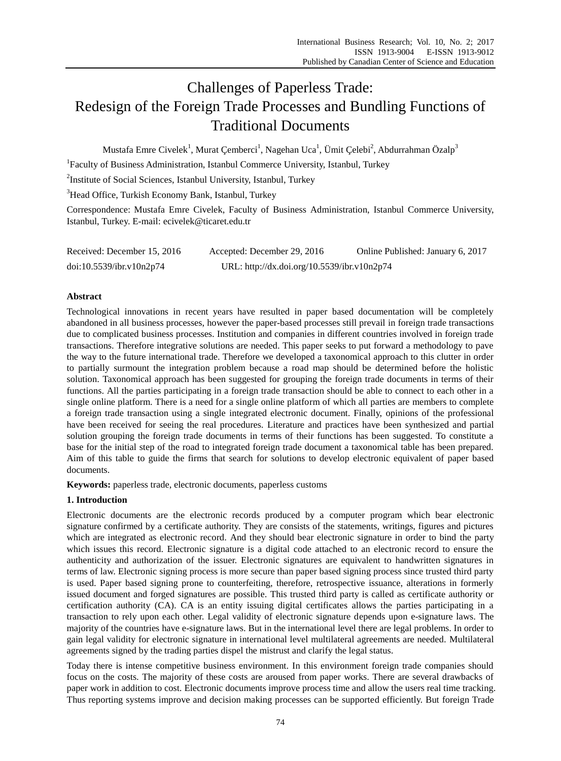# Challenges of Paperless Trade: Redesign of the Foreign Trade Processes and Bundling Functions of Traditional Documents

Mustafa Emre Civelek<sup>1</sup>, Murat Çemberci<sup>1</sup>, Nagehan Uca<sup>1</sup>, Ümit Çelebi<sup>2</sup>, Abdurrahman Özalp<sup>3</sup>

<sup>1</sup>Faculty of Business Administration, Istanbul Commerce University, Istanbul, Turkey

<sup>3</sup>Head Office, Turkish Economy Bank, Istanbul, Turkey

Correspondence: Mustafa Emre Civelek, Faculty of Business Administration, Istanbul Commerce University, Istanbul, Turkey. E-mail: ecivelek@ticaret.edu.tr

| Received: December 15, 2016 | Accepted: December 29, 2016                 | Online Published: January 6, 2017 |
|-----------------------------|---------------------------------------------|-----------------------------------|
| doi:10.5539/ibr.v10n2p74    | URL: http://dx.doi.org/10.5539/ibr.v10n2p74 |                                   |

# **Abstract**

Technological innovations in recent years have resulted in paper based documentation will be completely abandoned in all business processes, however the paper-based processes still prevail in foreign trade transactions due to complicated business processes. Institution and companies in different countries involved in foreign trade transactions. Therefore integrative solutions are needed. This paper seeks to put forward a methodology to pave the way to the future international trade. Therefore we developed a taxonomical approach to this clutter in order to partially surmount the integration problem because a road map should be determined before the holistic solution. Taxonomical approach has been suggested for grouping the foreign trade documents in terms of their functions. All the parties participating in a foreign trade transaction should be able to connect to each other in a single online platform. There is a need for a single online platform of which all parties are members to complete a foreign trade transaction using a single integrated electronic document. Finally, opinions of the professional have been received for seeing the real procedures. Literature and practices have been synthesized and partial solution grouping the foreign trade documents in terms of their functions has been suggested. To constitute a base for the initial step of the road to integrated foreign trade document a taxonomical table has been prepared. Aim of this table to guide the firms that search for solutions to develop electronic equivalent of paper based documents.

**Keywords:** paperless trade, electronic documents, paperless customs

# **1. Introduction**

Electronic documents are the electronic records produced by a computer program which bear electronic signature confirmed by a certificate authority. They are consists of the statements, writings, figures and pictures which are integrated as electronic record. And they should bear electronic signature in order to bind the party which issues this record. Electronic signature is a digital code attached to an electronic record to ensure the authenticity and authorization of the issuer. Electronic signatures are equivalent to handwritten signatures in terms of law. Electronic signing process is more secure than paper based signing process since trusted third party is used. Paper based signing prone to counterfeiting, therefore, retrospective issuance, alterations in formerly issued document and forged signatures are possible. This trusted third party is called as certificate authority or certification authority (CA). CA is an entity issuing digital certificates allows the parties participating in a transaction to rely upon each other. Legal validity of electronic signature depends upon e-signature laws. The majority of the countries have e-signature laws. But in the international level there are legal problems. In order to gain legal validity for electronic signature in international level multilateral agreements are needed. Multilateral agreements signed by the trading parties dispel the mistrust and clarify the legal status.

Today there is intense competitive business environment. In this environment foreign trade companies should focus on the costs. The majority of these costs are aroused from paper works. There are several drawbacks of paper work in addition to cost. Electronic documents improve process time and allow the users real time tracking. Thus reporting systems improve and decision making processes can be supported efficiently. But foreign Trade

<sup>&</sup>lt;sup>2</sup>Institute of Social Sciences, Istanbul University, Istanbul, Turkey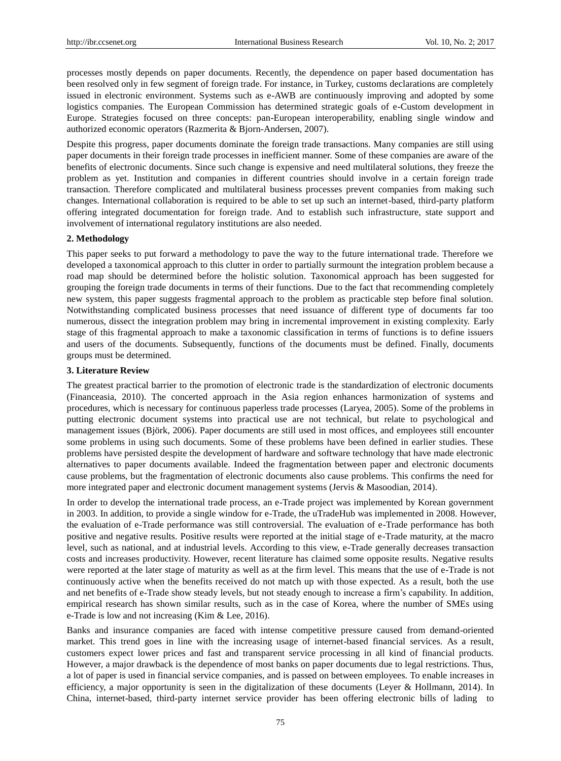processes mostly depends on paper documents. Recently, the dependence on paper based documentation has been resolved only in few segment of foreign trade. For instance, in Turkey, customs declarations are completely issued in electronic environment. Systems such as e-AWB are continuously improving and adopted by some logistics companies. The European Commission has determined strategic goals of e-Custom development in Europe. Strategies focused on three concepts: pan-European interoperability, enabling single window and authorized economic operators (Razmerita & Bjorn-Andersen, 2007).

Despite this progress, paper documents dominate the foreign trade transactions. Many companies are still using paper documents in their foreign trade processes in inefficient manner. Some of these companies are aware of the benefits of electronic documents. Since such change is expensive and need multilateral solutions, they freeze the problem as yet. Institution and companies in different countries should involve in a certain foreign trade transaction. Therefore complicated and multilateral business processes prevent companies from making such changes. International collaboration is required to be able to set up such an internet-based, third-party platform offering integrated documentation for foreign trade. And to establish such infrastructure, state support and involvement of international regulatory institutions are also needed.

#### **2. Methodology**

This paper seeks to put forward a methodology to pave the way to the future international trade. Therefore we developed a taxonomical approach to this clutter in order to partially surmount the integration problem because a road map should be determined before the holistic solution. Taxonomical approach has been suggested for grouping the foreign trade documents in terms of their functions. Due to the fact that recommending completely new system, this paper suggests fragmental approach to the problem as practicable step before final solution. Notwithstanding complicated business processes that need issuance of different type of documents far too numerous, dissect the integration problem may bring in incremental improvement in existing complexity. Early stage of this fragmental approach to make a taxonomic classification in terms of functions is to define issuers and users of the documents. Subsequently, functions of the documents must be defined. Finally, documents groups must be determined.

#### **3. Literature Review**

The greatest practical barrier to the promotion of electronic trade is the standardization of electronic documents (Financeasia, 2010). The concerted approach in the Asia region enhances harmonization of systems and procedures, which is necessary for continuous paperless trade processes (Laryea, 2005). Some of the problems in putting electronic document systems into practical use are not technical, but relate to psychological and management issues (Björk, 2006). Paper documents are still used in most offices, and employees still encounter some problems in using such documents. Some of these problems have been defined in earlier studies. These problems have persisted despite the development of hardware and software technology that have made electronic alternatives to paper documents available. Indeed the fragmentation between paper and electronic documents cause problems, but the fragmentation of electronic documents also cause problems. This confirms the need for more integrated paper and electronic document management systems (Jervis & Masoodian, 2014).

In order to develop the international trade process, an e-Trade project was implemented by Korean government in 2003. In addition, to provide a single window for e-Trade, the uTradeHub was implemented in 2008. However, the evaluation of e-Trade performance was still controversial. The evaluation of e-Trade performance has both positive and negative results. Positive results were reported at the initial stage of e-Trade maturity, at the macro level, such as national, and at industrial levels. According to this view, e-Trade generally decreases transaction costs and increases productivity. However, recent literature has claimed some opposite results. Negative results were reported at the later stage of maturity as well as at the firm level. This means that the use of e-Trade is not continuously active when the benefits received do not match up with those expected. As a result, both the use and net benefits of e-Trade show steady levels, but not steady enough to increase a firm"s capability. In addition, empirical research has shown similar results, such as in the case of Korea, where the number of SMEs using e-Trade is low and not increasing (Kim & Lee, 2016).

Banks and insurance companies are faced with intense competitive pressure caused from demand-oriented market. This trend goes in line with the increasing usage of internet-based financial services. As a result, customers expect lower prices and fast and transparent service processing in all kind of financial products. However, a major drawback is the dependence of most banks on paper documents due to legal restrictions. Thus, a lot of paper is used in financial service companies, and is passed on between employees. To enable increases in efficiency, a major opportunity is seen in the digitalization of these documents (Leyer & Hollmann, 2014). In China, internet-based, third-party internet service provider has been offering electronic bills of lading to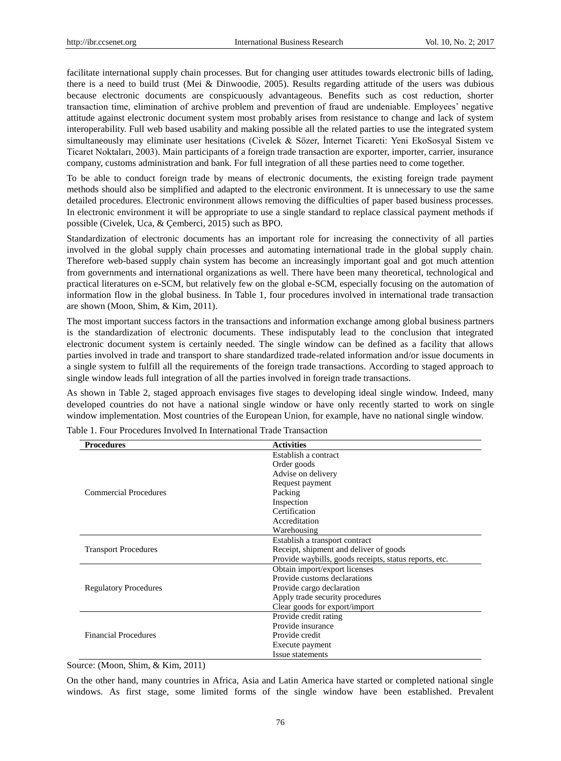facilitate international supply chain processes. But for changing user attitudes towards electronic bills of lading, there is a need to build trust (Mei & Dinwoodie, 2005). Results regarding attitude of the users was dubious because electronic documents are conspicuously advantageous. Benefits such as cost reduction, shorter transaction time, elimination of archive problem and prevention of fraud are undeniable. Employees" negative attitude against electronic document system most probably arises from resistance to change and lack of system interoperability. Full web based usability and making possible all the related parties to use the integrated system simultaneously may eliminate user hesitations (Civelek & Sözer, İnternet Ticareti: Yeni EkoSosyal Sistem ve Ticaret Noktaları, 2003). Main participants of a foreign trade transaction are exporter, importer, carrier, insurance company, customs administration and bank. For full integration of all these parties need to come together.

To be able to conduct foreign trade by means of electronic documents, the existing foreign trade payment methods should also be simplified and adapted to the electronic environment. It is unnecessary to use the same detailed procedures. Electronic environment allows removing the difficulties of paper based business processes. In electronic environment it will be appropriate to use a single standard to replace classical payment methods if possible (Civelek, Uca, & Çemberci, 2015) such as BPO.

Standardization of electronic documents has an important role for increasing the connectivity of all parties involved in the global supply chain processes and automating international trade in the global supply chain. Therefore web-based supply chain system has become an increasingly important goal and got much attention from governments and international organizations as well. There have been many theoretical, technological and practical literatures on e-SCM, but relatively few on the global e-SCM, especially focusing on the automation of information flow in the global business. In Table 1, four procedures involved in international trade transaction are shown (Moon, Shim, & Kim, 2011).

The most important success factors in the transactions and information exchange among global business partners is the standardization of electronic documents. These indisputably lead to the conclusion that integrated electronic document system is certainly needed. The single window can be defined as a facility that allows parties involved in trade and transport to share standardized trade-related information and/or issue documents in a single system to fulfill all the requirements of the foreign trade transactions. According to staged approach to single window leads full integration of all the parties involved in foreign trade transactions.

As shown in Table 2, staged approach envisages five stages to developing ideal single window. Indeed, many developed countries do not have a national single window or have only recently started to work on single window implementation. Most countries of the European Union, for example, have no national single window.

| <b>Procedures</b>            | <b>Activities</b>                                      |  |
|------------------------------|--------------------------------------------------------|--|
|                              | Establish a contract                                   |  |
|                              | Order goods                                            |  |
|                              | Advise on delivery                                     |  |
|                              | Request payment                                        |  |
| Commercial Procedures        | Packing                                                |  |
|                              | Inspection                                             |  |
|                              | Certification                                          |  |
|                              | Accreditation                                          |  |
|                              | Warehousing                                            |  |
|                              | Establish a transport contract                         |  |
| <b>Transport Procedures</b>  | Receipt, shipment and deliver of goods                 |  |
|                              | Provide waybills, goods receipts, status reports, etc. |  |
|                              | Obtain import/export licenses                          |  |
|                              | Provide customs declarations                           |  |
| <b>Regulatory Procedures</b> | Provide cargo declaration                              |  |
|                              | Apply trade security procedures                        |  |
|                              | Clear goods for export/import                          |  |
|                              | Provide credit rating                                  |  |
|                              | Provide insurance                                      |  |
| <b>Financial Procedures</b>  | Provide credit                                         |  |
|                              | Execute payment                                        |  |
|                              | Issue statements                                       |  |

Table 1. Four Procedures Involved In International Trade Transaction

Source: (Moon, Shim, & Kim, 2011)

On the other hand, many countries in Africa, Asia and Latin America have started or completed national single windows. As first stage, some limited forms of the single window have been established. Prevalent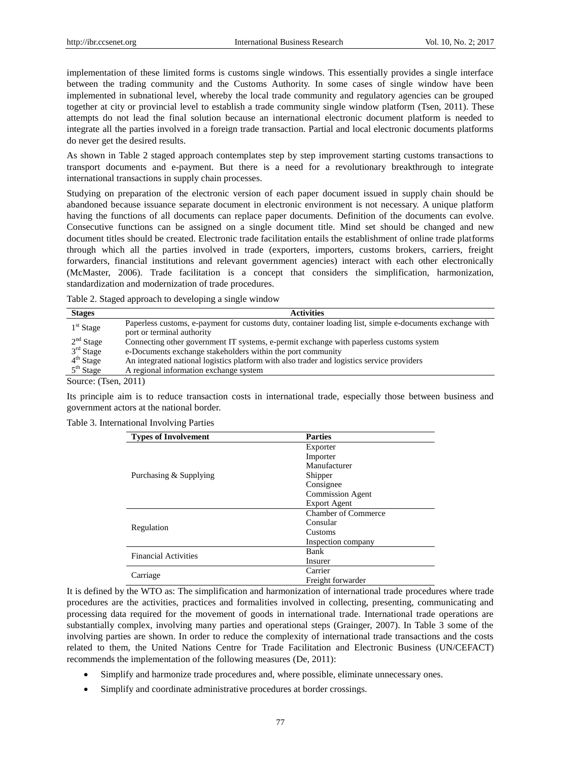implementation of these limited forms is customs single windows. This essentially provides a single interface between the trading community and the Customs Authority. In some cases of single window have been implemented in subnational level, whereby the local trade community and regulatory agencies can be grouped together at city or provincial level to establish a trade community single window platform (Tsen, 2011). These attempts do not lead the final solution because an international electronic document platform is needed to integrate all the parties involved in a foreign trade transaction. Partial and local electronic documents platforms do never get the desired results.

As shown in Table 2 staged approach contemplates step by step improvement starting customs transactions to transport documents and e-payment. But there is a need for a revolutionary breakthrough to integrate international transactions in supply chain processes.

Studying on preparation of the electronic version of each paper document issued in supply chain should be abandoned because issuance separate document in electronic environment is not necessary. A unique platform having the functions of all documents can replace paper documents. Definition of the documents can evolve. Consecutive functions can be assigned on a single document title. Mind set should be changed and new document titles should be created. Electronic trade facilitation entails the establishment of online trade platforms through which all the parties involved in trade (exporters, importers, customs brokers, carriers, freight forwarders, financial institutions and relevant government agencies) interact with each other electronically (McMaster, 2006). Trade facilitation is a concept that considers the simplification, harmonization, standardization and modernization of trade procedures.

| <b>Stages</b>         | <b>Activities</b>                                                                                                                     |
|-----------------------|---------------------------------------------------------------------------------------------------------------------------------------|
| $1st$ Stage           | Paperless customs, e-payment for customs duty, container loading list, simple e-documents exchange with<br>port or terminal authority |
| 2 <sup>nd</sup> Stage | Connecting other government IT systems, e-permit exchange with paperless customs system                                               |
| $3rd$ Stage           | e-Documents exchange stakeholders within the port community                                                                           |
| $4th$ Stage           | An integrated national logistics platform with also trader and logistics service providers                                            |
| $5th$ Stage           | A regional information exchange system                                                                                                |
| $\sim$ $\sim$ $\sim$  | -----                                                                                                                                 |

Table 2. Staged approach to developing a single window

Source: (Tsen, 2011)

Its principle aim is to reduce transaction costs in international trade, especially those between business and government actors at the national border.

#### Table 3. International Involving Parties

| <b>Types of Involvement</b> | <b>Parties</b>             |
|-----------------------------|----------------------------|
|                             | Exporter                   |
|                             | Importer                   |
|                             | Manufacturer               |
| Purchasing & Supplying      | Shipper                    |
|                             | Consignee                  |
|                             | <b>Commission Agent</b>    |
|                             | <b>Export Agent</b>        |
|                             | <b>Chamber of Commerce</b> |
|                             | Consular                   |
| Regulation                  | Customs                    |
|                             | Inspection company         |
| <b>Financial Activities</b> | Bank                       |
|                             | Insurer                    |
|                             | Carrier                    |
| Carriage                    | Freight forwarder          |

It is defined by the WTO as: The simplification and harmonization of international trade procedures where trade procedures are the activities, practices and formalities involved in collecting, presenting, communicating and processing data required for the movement of goods in international trade. International trade operations are substantially complex, involving many parties and operational steps (Grainger, 2007). In Table 3 some of the involving parties are shown. In order to reduce the complexity of international trade transactions and the costs related to them, the United Nations Centre for Trade Facilitation and Electronic Business (UN/CEFACT) recommends the implementation of the following measures (De, 2011):

- Simplify and harmonize trade procedures and, where possible, eliminate unnecessary ones.
- Simplify and coordinate administrative procedures at border crossings.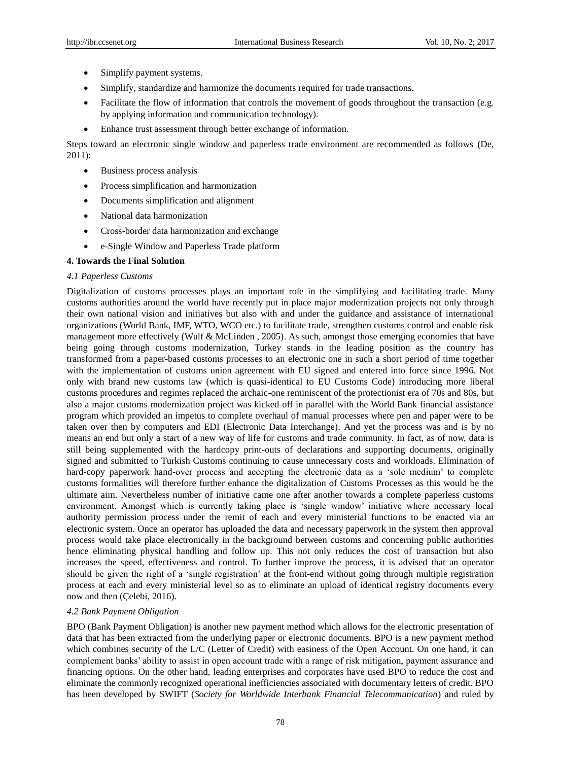- Simplify payment systems.
- Simplify, standardize and harmonize the documents required for trade transactions.
- Facilitate the flow of information that controls the movement of goods throughout the transaction (e.g. by applying information and communication technology).
- Enhance trust assessment through better exchange of information.

Steps toward an electronic single window and paperless trade environment are recommended as follows (De, 2011):

- Business process analysis
- Process simplification and harmonization
- Documents simplification and alignment
- National data harmonization
- Cross-border data harmonization and exchange
- e-Single Window and Paperless Trade platform

# **4. Towards the Final Solution**

# *4.1 Paperless Customs*

Digitalization of customs processes plays an important role in the simplifying and facilitating trade. Many customs authorities around the world have recently put in place major modernization projects not only through their own national vision and initiatives but also with and under the guidance and assistance of international organizations (World Bank, IMF, WTO, WCO etc.) to facilitate trade, strengthen customs control and enable risk management more effectively (Wulf & McLinden , 2005). As such, amongst those emerging economies that have being going through customs modernization, Turkey stands in the leading position as the country has transformed from a paper-based customs processes to an electronic one in such a short period of time together with the implementation of customs union agreement with EU signed and entered into force since 1996. Not only with brand new customs law (which is quasi-identical to EU Customs Code) introducing more liberal customs procedures and regimes replaced the archaic-one reminiscent of the protectionist era of 70s and 80s, but also a major customs modernization project was kicked off in parallel with the World Bank financial assistance program which provided an impetus to complete overhaul of manual processes where pen and paper were to be taken over then by computers and EDI (Electronic Data Interchange). And yet the process was and is by no means an end but only a start of a new way of life for customs and trade community. In fact, as of now, data is still being supplemented with the hardcopy print-outs of declarations and supporting documents, originally signed and submitted to Turkish Customs continuing to cause unnecessary costs and workloads. Elimination of hard-copy paperwork hand-over process and accepting the electronic data as a "sole medium" to complete customs formalities will therefore further enhance the digitalization of Customs Processes as this would be the ultimate aim. Nevertheless number of initiative came one after another towards a complete paperless customs environment. Amongst which is currently taking place is "single window" initiative where necessary local authority permission process under the remit of each and every ministerial functions to be enacted via an electronic system. Once an operator has uploaded the data and necessary paperwork in the system then approval process would take place electronically in the background between customs and concerning public authorities hence eliminating physical handling and follow up. This not only reduces the cost of transaction but also increases the speed, effectiveness and control. To further improve the process, it is advised that an operator should be given the right of a "single registration" at the front-end without going through multiple registration process at each and every ministerial level so as to eliminate an upload of identical registry documents every now and then (Çelebi, 2016).

# *4.2 Bank Payment Obligation*

BPO (Bank Payment Obligation) is another new payment method which allows for the electronic presentation of data that has been extracted from the underlying paper or electronic documents. BPO is a new payment method which combines security of the L/C (Letter of Credit) with easiness of the Open Account. On one hand, it can complement banks" ability to assist in open account trade with a range of risk mitigation, payment assurance and financing options. On the other hand, leading enterprises and corporates have used BPO to reduce the cost and eliminate the commonly recognized operational inefficiencies associated with documentary letters of credit. BPO has been developed by SWIFT (*Society for Worldwide Interbank Financial Telecommunication*) and ruled by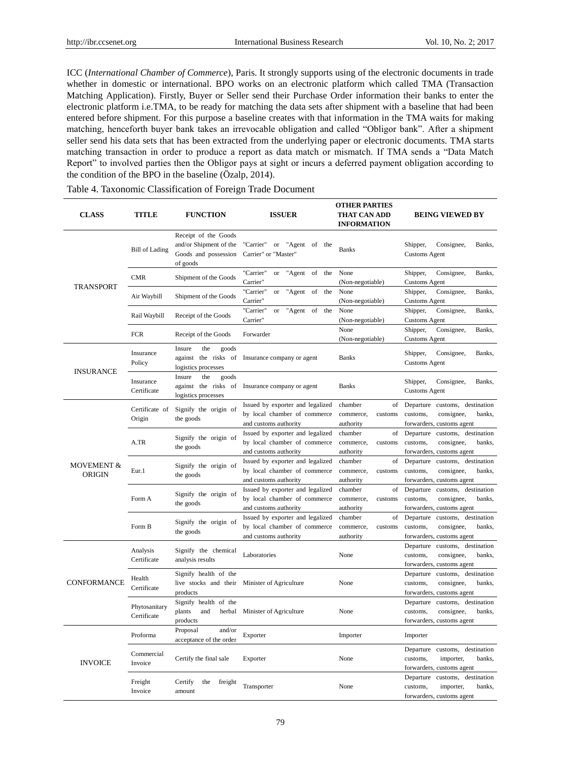ICC (*International Chamber of Commerce*), Paris. It strongly supports using of the electronic documents in trade whether in domestic or international. BPO works on an electronic platform which called TMA (Transaction Matching Application). Firstly, Buyer or Seller send their Purchase Order information their banks to enter the electronic platform i.e.TMA, to be ready for matching the data sets after shipment with a baseline that had been entered before shipment. For this purpose a baseline creates with that information in the TMA waits for making matching, henceforth buyer bank takes an irrevocable obligation and called "Obligor bank". After a shipment seller send his data sets that has been extracted from the underlying paper or electronic documents. TMA starts matching transaction in order to produce a report as data match or mismatch. If TMA sends a "Data Match Report" to involved parties then the Obligor pays at sight or incurs a deferred payment obligation according to the condition of the BPO in the baseline (Özalp, 2014).

| <b>CLASS</b>                    | <b>TITLE</b>                 | <b>FUNCTION</b>                                                                    | <b>ISSUER</b>                                                                             | <b>OTHER PARTIES</b><br>THAT CAN ADD<br><b>INFORMATION</b> | <b>BEING VIEWED BY</b>                                                                                |
|---------------------------------|------------------------------|------------------------------------------------------------------------------------|-------------------------------------------------------------------------------------------|------------------------------------------------------------|-------------------------------------------------------------------------------------------------------|
| TRANSPORT                       | <b>Bill of Lading</b>        | Receipt of the Goods<br>and/or Shipment of the<br>Goods and possession<br>of goods | "Carrier"<br>"Agent of the<br>$\hbox{or}$<br>Carrier" or "Master"                         | Banks                                                      | Shipper,<br>Consignee,<br>Banks,<br><b>Customs Agent</b>                                              |
|                                 | <b>CMR</b>                   | Shipment of the Goods                                                              | "Carrier"<br>"Agent<br>of<br>the<br>or                                                    | None                                                       | Shipper,<br>Consignee,<br>Banks,                                                                      |
|                                 | Air Waybill                  | Shipment of the Goods                                                              | Carrier"<br>"Carrier"<br>"Agent<br>of<br>the<br>$\hbox{or}$<br>Carrier"                   | (Non-negotiable)<br>None<br>(Non-negotiable)               | <b>Customs Agent</b><br>Consignee,<br>Banks,<br>Shipper,<br><b>Customs Agent</b>                      |
|                                 | Rail Waybill                 | Receipt of the Goods                                                               | "Agent<br>of the<br>"Carrier"<br><b>or</b><br>Carrier"                                    | None<br>(Non-negotiable)                                   | Shipper,<br>Consignee,<br>Banks,<br>Customs Agent                                                     |
|                                 | <b>FCR</b>                   | Receipt of the Goods                                                               | Forwarder                                                                                 | None<br>(Non-negotiable)                                   | Shipper,<br>Consignee,<br>Banks.<br><b>Customs Agent</b>                                              |
| <b>INSURANCE</b>                | Insurance<br>Policy          | Insure<br>the<br>goods<br>the risks of<br>against<br>logistics processes           | Insurance company or agent                                                                | Banks                                                      | Shipper,<br>Consignee,<br>Banks,<br><b>Customs Agent</b>                                              |
|                                 | Insurance<br>Certificate     | Insure<br>the<br>goods<br>the risks<br>of<br>against<br>logistics processes        | Insurance company or agent                                                                | <b>Banks</b>                                               | Consignee,<br>Shipper,<br>Banks,<br><b>Customs Agent</b>                                              |
| <b>MOVEMENT &amp;</b><br>ORIGIN | Certificate of<br>Origin     | Signify the origin of<br>the goods                                                 | Issued by exporter and legalized<br>by local chamber of commerce<br>and customs authority | chamber<br>of<br>commerce,<br>customs<br>authority         | Departure customs,<br>destination<br>consignee,<br>customs,<br>banks,<br>forwarders, customs agent    |
|                                 | A.TR                         | Signify the origin of<br>the goods                                                 | Issued by exporter and legalized<br>by local chamber of commerce<br>and customs authority | chamber<br>of<br>commerce,<br>customs<br>authority         | destination<br>Departure customs,<br>customs.<br>consignee,<br>banks.<br>forwarders, customs agent    |
|                                 | Eur.1                        | Signify the origin of<br>the goods                                                 | Issued by exporter and legalized<br>by local chamber of commerce<br>and customs authority | chamber<br>of<br>commerce.<br>customs<br>authority         | destination<br>Departure customs,<br>consignee,<br>customs,<br>banks,<br>forwarders, customs agent    |
|                                 | Form A                       | Signify the origin of<br>the goods                                                 | Issued by exporter and legalized<br>by local chamber of commerce<br>and customs authority | chamber<br>of<br>commerce,<br>customs<br>authority         | destination<br>Departure<br>customs,<br>customs,<br>consignee,<br>banks.<br>forwarders, customs agent |
|                                 | Form B                       | Signify the origin of<br>the goods                                                 | Issued by exporter and legalized<br>by local chamber of commerce<br>and customs authority | chamber<br>of<br>commerce,<br>customs<br>authority         | destination<br>Departure<br>customs,<br>consignee,<br>customs,<br>banks,<br>forwarders, customs agent |
| CONFORMANCE                     | Analysis<br>Certificate      | Signify the chemical<br>analysis results                                           | Laboratories                                                                              | None                                                       | destination<br>Departure<br>customs,<br>customs,<br>consignee,<br>banks,<br>forwarders, customs agent |
|                                 | Health<br>Certificate        | Signify health of the<br>products                                                  | live stocks and their Minister of Agriculture                                             | None                                                       | destination<br>Departure<br>customs,<br>consignee,<br>customs,<br>banks,<br>forwarders, customs agent |
|                                 | Phytosanitary<br>Certificate | Signify health of the<br>plants<br>and<br>herbal<br>products                       | Minister of Agriculture                                                                   | None                                                       | destination<br>Departure<br>customs,<br>customs,<br>consignee,<br>banks,<br>forwarders, customs agent |
| <b>INVOICE</b>                  | Proforma                     | Proposal<br>and/or<br>acceptance of the order                                      | Exporter                                                                                  | Importer                                                   | Importer                                                                                              |
|                                 | Commercial<br>Invoice        | Certify the final sale                                                             | Exporter                                                                                  | None                                                       | Departure customs,<br>destination<br>customs,<br>importer,<br>banks,<br>forwarders, customs agent     |
|                                 | Freight<br>Invoice           | Certify<br>freight<br>the<br>amount                                                | Transporter                                                                               | None                                                       | Departure customs,<br>destination<br>customs,<br>importer,<br>banks,<br>forwarders, customs agent     |

Table 4. Taxonomic Classification of Foreign Trade Document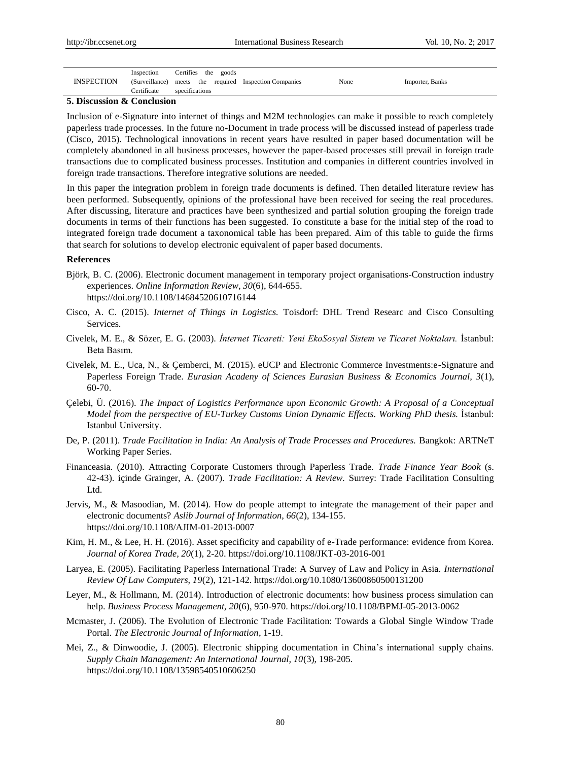|                   | Inspection  | Certifies the goods                                    |      |                 |
|-------------------|-------------|--------------------------------------------------------|------|-----------------|
| <b>INSPECTION</b> |             | (Surveillance) meets the required Inspection Companies | None | Importer, Banks |
|                   | Certificate | specifications                                         |      |                 |

#### **5. Discussion & Conclusion**

Inclusion of e-Signature into internet of things and M2M technologies can make it possible to reach completely paperless trade processes. In the future no-Document in trade process will be discussed instead of paperless trade (Cisco, 2015). Technological innovations in recent years have resulted in paper based documentation will be completely abandoned in all business processes, however the paper-based processes still prevail in foreign trade transactions due to complicated business processes. Institution and companies in different countries involved in foreign trade transactions. Therefore integrative solutions are needed.

In this paper the integration problem in foreign trade documents is defined. Then detailed literature review has been performed. Subsequently, opinions of the professional have been received for seeing the real procedures. After discussing, literature and practices have been synthesized and partial solution grouping the foreign trade documents in terms of their functions has been suggested. To constitute a base for the initial step of the road to integrated foreign trade document a taxonomical table has been prepared. Aim of this table to guide the firms that search for solutions to develop electronic equivalent of paper based documents.

#### **References**

- Björk, B. C. (2006). Electronic document management in temporary project organisations-Construction industry experiences. *Online Information Review, 30*(6), 644-655. <https://doi.org/10.1108/14684520610716144>
- Cisco, A. C. (2015). *Internet of Things in Logistics.* Toisdorf: DHL Trend Researc and Cisco Consulting Services.
- Civelek, M. E., & Sözer, E. G. (2003). *İnternet Ticareti: Yeni EkoSosyal Sistem ve Ticaret Noktaları.* İstanbul: Beta Basım.
- Civelek, M. E., Uca, N., & Çemberci, M. (2015). eUCP and Electronic Commerce Investments:e-Signature and Paperless Foreign Trade. *Eurasian Acadeny of Sciences Eurasian Business & Economics Journal, 3*(1), 60-70.
- Çelebi, Ü. (2016). *The Impact of Logistics Performance upon Economic Growth: A Proposal of a Conceptual Model from the perspective of EU-Turkey Customs Union Dynamic Effects. Working PhD thesis.* İstanbul: Istanbul University.
- De, P. (2011). *Trade Facilitation in India: An Analysis of Trade Processes and Procedures.* Bangkok: ARTNeT Working Paper Series.
- Financeasia. (2010). Attracting Corporate Customers through Paperless Trade. *Trade Finance Year Book* (s. 42-43). içinde Grainger, A. (2007). *Trade Facilitation: A Review.* Surrey: Trade Facilitation Consulting Ltd.
- Jervis, M., & Masoodian, M. (2014). How do people attempt to integrate the management of their paper and electronic documents? *Aslib Journal of Information, 66*(2), 134-155. <https://doi.org/10.1108/AJIM-01-2013-0007>
- Kim, H. M., & Lee, H. H. (2016). Asset specificity and capability of e-Trade performance: evidence from Korea. *Journal of Korea Trade, 20*(1), 2-20. <https://doi.org/10.1108/JKT-03-2016-001>
- Laryea, E. (2005). Facilitating Paperless International Trade: A Survey of Law and Policy in Asia. *International Review Of Law Computers, 19*(2), 121-142. <https://doi.org/10.1080/13600860500131200>
- Leyer, M., & Hollmann, M. (2014). Introduction of electronic documents: how business process simulation can help. *Business Process Management, 20*(6), 950-970. <https://doi.org/10.1108/BPMJ-05-2013-0062>
- Mcmaster, J. (2006). The Evolution of Electronic Trade Facilitation: Towards a Global Single Window Trade Portal. *The Electronic Journal of Information*, 1-19.
- Mei, Z., & Dinwoodie, J. (2005). Electronic shipping documentation in China"s international supply chains. *Supply Chain Management: An International Journal, 10*(3), 198-205. <https://doi.org/10.1108/13598540510606250>